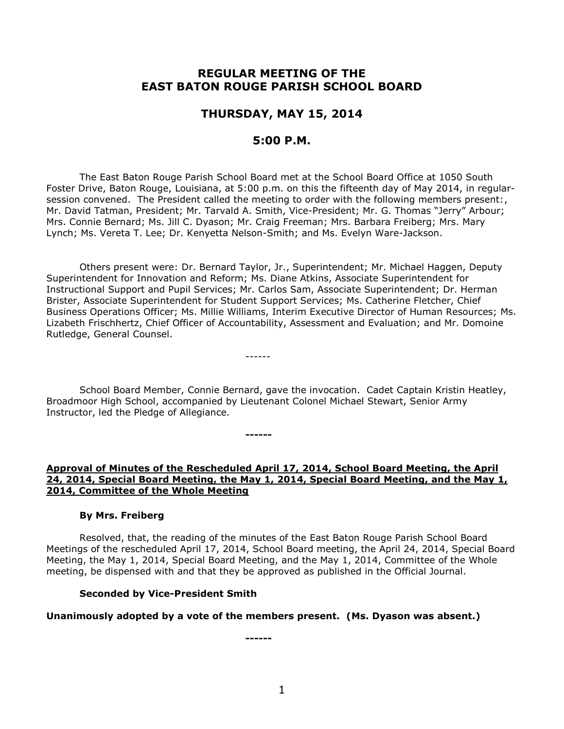# **REGULAR MEETING OF THE EAST BATON ROUGE PARISH SCHOOL BOARD**

# **THURSDAY, MAY 15, 2014**

# **5:00 P.M.**

The East Baton Rouge Parish School Board met at the School Board Office at 1050 South Foster Drive, Baton Rouge, Louisiana, at 5:00 p.m. on this the fifteenth day of May 2014, in regularsession convened. The President called the meeting to order with the following members present:, Mr. David Tatman, President; Mr. Tarvald A. Smith, Vice-President; Mr. G. Thomas "Jerry" Arbour; Mrs. Connie Bernard; Ms. Jill C. Dyason; Mr. Craig Freeman; Mrs. Barbara Freiberg; Mrs. Mary Lynch; Ms. Vereta T. Lee; Dr. Kenyetta Nelson-Smith; and Ms. Evelyn Ware-Jackson.

Others present were: Dr. Bernard Taylor, Jr., Superintendent; Mr. Michael Haggen, Deputy Superintendent for Innovation and Reform; Ms. Diane Atkins, Associate Superintendent for Instructional Support and Pupil Services; Mr. Carlos Sam, Associate Superintendent; Dr. Herman Brister, Associate Superintendent for Student Support Services; Ms. Catherine Fletcher, Chief Business Operations Officer; Ms. Millie Williams, Interim Executive Director of Human Resources; Ms. Lizabeth Frischhertz, Chief Officer of Accountability, Assessment and Evaluation; and Mr. Domoine Rutledge, General Counsel.

School Board Member, Connie Bernard, gave the invocation. Cadet Captain Kristin Heatley, Broadmoor High School, accompanied by Lieutenant Colonel Michael Stewart, Senior Army Instructor, led the Pledge of Allegiance.

------

**------**

## **Approval of Minutes of the Rescheduled April 17, 2014, School Board Meeting, the April 24, 2014, Special Board Meeting, the May 1, 2014, Special Board Meeting, and the May 1, 2014, Committee of the Whole Meeting**

## **By Mrs. Freiberg**

Resolved, that, the reading of the minutes of the East Baton Rouge Parish School Board Meetings of the rescheduled April 17, 2014, School Board meeting, the April 24, 2014, Special Board Meeting, the May 1, 2014, Special Board Meeting, and the May 1, 2014, Committee of the Whole meeting, be dispensed with and that they be approved as published in the Official Journal.

#### **Seconded by Vice-President Smith**

## **Unanimously adopted by a vote of the members present. (Ms. Dyason was absent.)**

**------**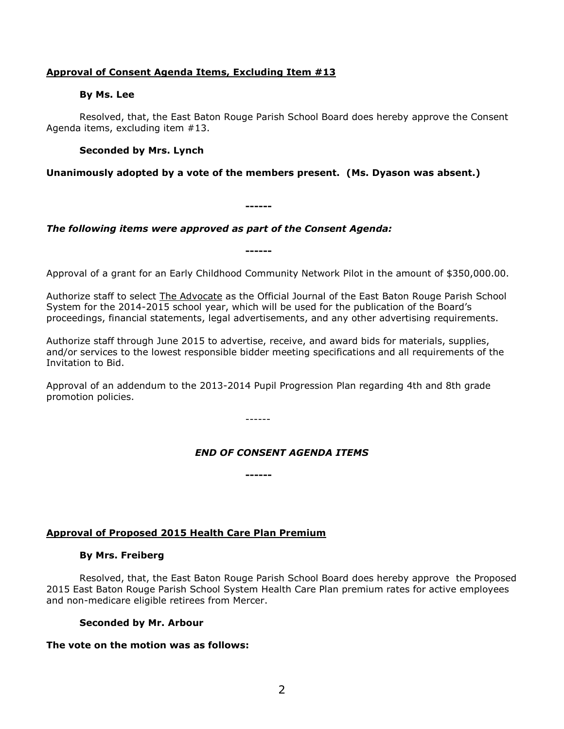## **Approval of Consent Agenda Items, Excluding Item #13**

### **By Ms. Lee**

Resolved, that, the East Baton Rouge Parish School Board does hereby approve the Consent Agenda items, excluding item #13.

## **Seconded by Mrs. Lynch**

## **Unanimously adopted by a vote of the members present. (Ms. Dyason was absent.)**

**------**

**------**

*The following items were approved as part of the Consent Agenda:*

Approval of a grant for an Early Childhood Community Network Pilot in the amount of \$350,000.00.

Authorize staff to select The Advocate as the Official Journal of the East Baton Rouge Parish School System for the 2014-2015 school year, which will be used for the publication of the Board's proceedings, financial statements, legal advertisements, and any other advertising requirements.

Authorize staff through June 2015 to advertise, receive, and award bids for materials, supplies, and/or services to the lowest responsible bidder meeting specifications and all requirements of the Invitation to Bid.

Approval of an addendum to the 2013-2014 Pupil Progression Plan regarding 4th and 8th grade promotion policies.

------

**------**

# *END OF CONSENT AGENDA ITEMS*

## **Approval of Proposed 2015 Health Care Plan Premium**

## **By Mrs. Freiberg**

Resolved, that, the East Baton Rouge Parish School Board does hereby approve the Proposed 2015 East Baton Rouge Parish School System Health Care Plan premium rates for active employees and non-medicare eligible retirees from Mercer.

## **Seconded by Mr. Arbour**

## **The vote on the motion was as follows:**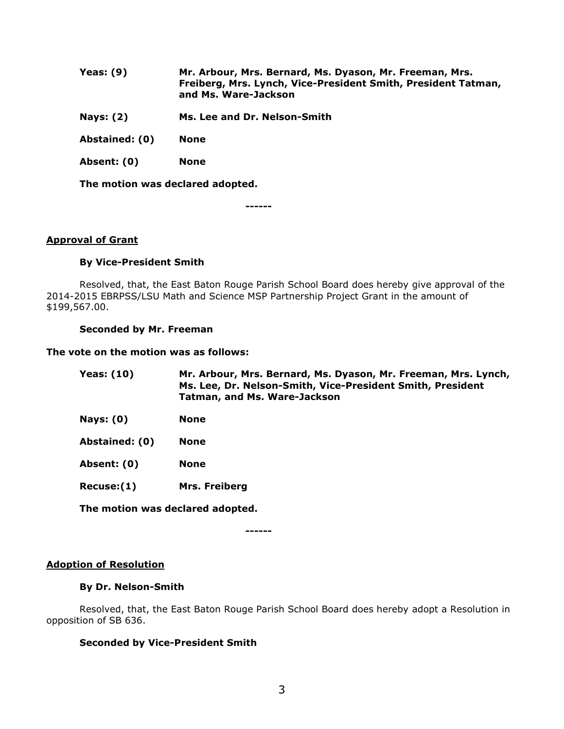| Yeas: $(9)$    | Mr. Arbour, Mrs. Bernard, Ms. Dyason, Mr. Freeman, Mrs.<br>Freiberg, Mrs. Lynch, Vice-President Smith, President Tatman,<br>and Ms. Ware-Jackson |
|----------------|--------------------------------------------------------------------------------------------------------------------------------------------------|
| Nays: $(2)$    | Ms. Lee and Dr. Nelson-Smith                                                                                                                     |
| Abstained: (0) | None                                                                                                                                             |
| Absent: (0)    | <b>None</b>                                                                                                                                      |

**The motion was declared adopted.**

**------**

#### **Approval of Grant**

#### **By Vice-President Smith**

Resolved, that, the East Baton Rouge Parish School Board does hereby give approval of the 2014-2015 EBRPSS/LSU Math and Science MSP Partnership Project Grant in the amount of \$199,567.00.

#### **Seconded by Mr. Freeman**

#### **The vote on the motion was as follows:**

| <b>Yeas: (10)</b> | Mr. Arbour, Mrs. Bernard, Ms. Dyason, Mr. Freeman, Mrs. Lynch,<br>Ms. Lee, Dr. Nelson-Smith, Vice-President Smith, President<br><b>Tatman, and Ms. Ware-Jackson</b> |
|-------------------|---------------------------------------------------------------------------------------------------------------------------------------------------------------------|
| Nays: $(0)$       | <b>None</b>                                                                                                                                                         |
| Abstained: (0)    | <b>None</b>                                                                                                                                                         |
| Absent: (0)       | <b>None</b>                                                                                                                                                         |
| Recuse: (1)       | <b>Mrs. Freiberg</b>                                                                                                                                                |

**The motion was declared adopted.**

**------**

#### **Adoption of Resolution**

#### **By Dr. Nelson-Smith**

Resolved, that, the East Baton Rouge Parish School Board does hereby adopt a Resolution in opposition of SB 636.

## **Seconded by Vice-President Smith**